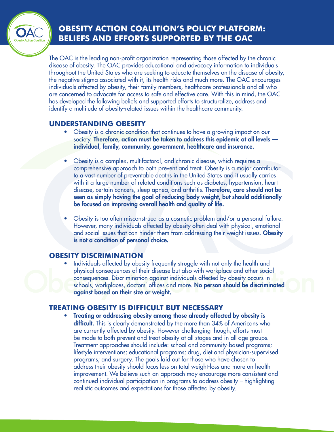# **OBESITY ACTION COALITION'S POLICY PLATFORM: BELIEFS AND EFFORTS SUPPORTED BY THE OAC**

The OAC is the leading non-profit organization representing those affected by the chronic disease of obesity. The OAC provides educational and advocacy information to individuals throughout the United States who are seeking to educate themselves on the disease of obesity, the negative stigma associated with it, its health risks and much more. The OAC encourages individuals affected by obesity, their family members, healthcare professionals and all who are concerned to advocate for access to safe and effective care. With this in mind, the OAC has developed the following beliefs and supported efforts to structuralize, address and identify a multitude of obesity-related issues within the healthcare community.

# **UNDERSTANDING OBESITY**

- Obesity is a chronic condition that continues to have a growing impact on our society. Therefore, action must be taken to address this epidemic at all levels individual, family, community, government, healthcare and insurance.
- Obesity is a complex, multifactoral, and chronic disease, which requires a comprehensive approach to both prevent and treat. Obesity is a major contributor to a vast number of preventable deaths in the United States and it usually carries with it a large number of related conditions such as diabetes, hypertension, heart disease, certain cancers, sleep apnea, and arthritis. Therefore, care should not be seen as simply having the goal of reducing body weight, but should additionally be focused on improving overall health and quality of life.
- Obesity is too often misconstrued as a cosmetic problem and/or a personal failure. However, many individuals affected by obesity often deal with physical, emotional and social issues that can hinder them from addressing their weight issues. **Obesity** is not a condition of personal choice.

# **OBESITY DISCRIMINATION**

Individuals affected by obesity frequently struggle with not only the health and physical consequences of their disease but also with workplace and other social consequences. Discrimination against individuals affected by obesity occurs in schools, workplaces, doctors' offices and more. No person should be discriminated against based on their size or weight.

# **TREATING OBESITY IS DIFFICULT BUT NECESSARY**

• Treating or addressing obesity among those already affected by obesity is difficult. This is clearly demonstrated by the more than 34% of Americans who are currently affected by obesity. However challenging though, efforts must be made to both prevent and treat obesity at all stages and in all age groups. Treatment approaches should include: school and community-based programs; lifestyle interventions; educational programs; drug, diet and physician-supervised programs; and surgery. The goals laid out for those who have chosen to address their obesity should focus less on total weight-loss and more on health improvement. We believe such an approach may encourage more consistent and continued individual participation in programs to address obesity – highlighting realistic outcomes and expectations for those affected by obesity.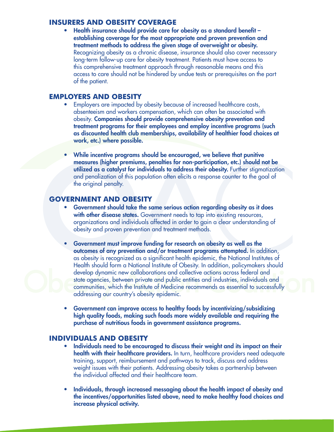#### **INSURERS AND OBESITY COVERAGE**

• Health insurance should provide care for obesity as a standard benefit – establishing coverage for the most appropriate and proven prevention and treatment methods to address the given stage of overweight or obesity. Recognizing obesity as a chronic disease, insurance should also cover necessary long-term follow-up care for obesity treatment. Patients must have access to this comprehensive treatment approach through reasonable means and this access to care should not be hindered by undue tests or prerequisites on the part of the patient.

#### **EMPLOYERS AND OBESITY**

- Employers are impacted by obesity because of increased healthcare costs, absenteeism and workers compensation, which can often be associated with obesity. Companies should provide comprehensive obesity prevention and treatment programs for their employees and employ incentive programs (such as discounted health club memberships, availability of healthier food choices at work, etc.) where possible.
- While incentive programs should be encouraged, we believe that punitive measures (higher premiums, penalties for non-participation, etc.) should not be utilized as a catalyst for individuals to address their obesity. Further stigmatization and penalization of this population often elicits a response counter to the goal of the original penalty.

### **GOVERNMENT AND OBESITY**

- Government should take the same serious action regarding obesity as it does with other disease states. Government needs to tap into existing resources, organizations and individuals affected in order to gain a clear understanding of obesity and proven prevention and treatment methods.
- Government must improve funding for research on obesity as well as the outcomes of any prevention and/or treatment programs attempted. In addition, as obesity is recognized as a significant health epidemic, the National Institutes of Health should form a National Institute of Obesity. In addition, policymakers should develop dynamic new collaborations and collective actions across federal and state agencies, between private and public entities and industries, individuals and communities, which the Institute of Medicine recommends as essential to successfully addressing our country's obesity epidemic.
- Government can improve access to healthy foods by incentivizing/subsidizing high quality foods, making such foods more widely available and requiring the purchase of nutritious foods in government assistance programs.

### **INDIVIDUALS AND OBESITY**

- Individuals need to be encouraged to discuss their weight and its impact on their health with their healthcare providers. In turn, healthcare providers need adequate training, support, reimbursement and pathways to track, discuss and address weight issues with their patients. Addressing obesity takes a partnership between the individual affected and their healthcare team.
- Individuals, through increased messaging about the health impact of obesity and the incentives/opportunities listed above, need to make healthy food choices and increase physical activity.